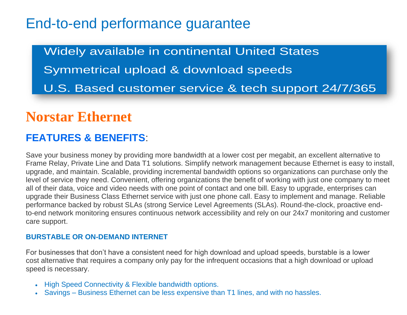# End-to-end performance guarantee

Widely available in continental United States Symmetrical upload & download speeds U.S. Based customer service & tech support 24/7/365

# **Norstar Ethernet**

# **FEATURES & BENEFITS**:

Save your business money by providing more bandwidth at a lower cost per megabit, an excellent alternative to Frame Relay, Private Line and Data T1 solutions. Simplify network management because Ethernet is easy to install, upgrade, and maintain. Scalable, providing incremental bandwidth options so organizations can purchase only the level of service they need. Convenient, offering organizations the benefit of working with just one company to meet all of their data, voice and video needs with one point of contact and one bill. Easy to upgrade, enterprises can upgrade their Business Class Ethernet service with just one phone call. Easy to implement and manage. Reliable performance backed by robust SLAs (strong Service Level Agreements (SLAs). Round-the-clock, proactive endto-end network monitoring ensures continuous network accessibility and rely on our 24x7 monitoring and customer care support.

#### **BURSTABLE OR ON-DEMAND INTERNET**

For businesses that don't have a consistent need for high download and upload speeds, burstable is a lower cost alternative that requires a company only pay for the infrequent occasions that a high download or upload speed is necessary.

- High Speed Connectivity & Flexible bandwidth options.
- Savings Business Ethernet can be less expensive than T1 lines, and with no hassles.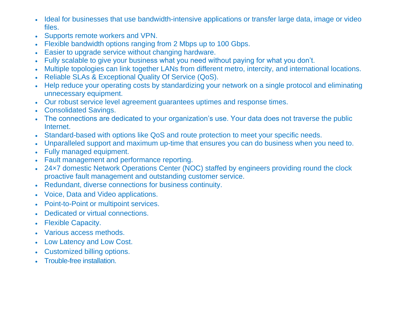- Ideal for businesses that use bandwidth-intensive applications or transfer large data, image or video files.
- Supports remote workers and VPN.
- Flexible bandwidth options ranging from 2 Mbps up to 100 Gbps.
- Easier to upgrade service without changing hardware.
- Fully scalable to give your business what you need without paying for what you don't.
- Multiple topologies can link together LANs from different metro, intercity, and international locations.
- Reliable SLAs & Exceptional Quality Of Service (QoS).
- Help reduce your operating costs by standardizing your network on a single protocol and eliminating unnecessary equipment.
- Our robust service level agreement guarantees uptimes and response times.
- Consolidated Savings.
- The connections are dedicated to your organization's use. Your data does not traverse the public Internet.
- Standard-based with options like QoS and route protection to meet your specific needs.
- Unparalleled support and maximum up-time that ensures you can do business when you need to.
- Fully managed equipment.
- Fault management and performance reporting.
- 24×7 domestic Network Operations Center (NOC) staffed by engineers providing round the clock proactive fault management and outstanding customer service.
- Redundant, diverse connections for business continuity.
- Voice, Data and Video applications.
- Point-to-Point or multipoint services.
- Dedicated or virtual connections.
- Flexible Capacity.
- Various access methods.
- Low Latency and Low Cost.
- Customized billing options.
- Trouble-free installation.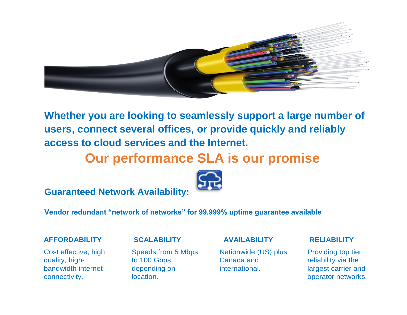

**Whether you are looking to seamlessly support a large number of users, connect several offices, or provide quickly and reliably access to cloud services and the Internet.**

# **Our performance SLA is our promise**



**Guaranteed Network Availability:**

### **Vendor redundant "network of networks" for 99.999% uptime guarantee available**

Cost effective, high quality, highbandwidth internet connectivity.

#### **AFFORDABILITY SCALABILITY**

Speeds from 5 Mbps to 100 Gbps depending on location.

#### **AVAILABILITY**

Nationwide (US) plus Canada and international.

#### **RELIABILITY**

Providing top tier reliability via the largest carrier and operator networks.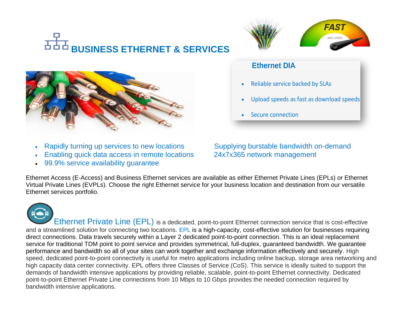# **BUSINESS ETHERNET & SERVICES**



- Rapidly turning up services to new locations Supplying burstable bandwidth on-demand
- Enabling quick data access in remote locations 24x7x365 network management
- 99.9% service availability guarantee

# **Ethernet DIA**

- Reliable service backed by SLAs
- Upload speeds as fast as download speeds

**FAST** 

• Secure connection

Ethernet Access (E-Access) and Business Ethernet services are available as either Ethernet Private Lines (EPLs) or Ethernet Virtual Private Lines (EVPLs). Choose the right Ethernet service for your business location and destination from our versatile Ethernet services portfolio.

Ethernet Private Line (EPL) is a dedicated, point-to-point Ethernet connection service that is cost-effective and a streamlined solution for connecting two locations. EPL is a high-capacity, cost-effective solution for businesses requiring direct connections. Data travels securely within a Layer 2 dedicated point-to-point connection. This is an ideal replacement service for traditional TDM point to point service and provides symmetrical, full-duplex, guaranteed bandwidth. We guarantee performance and bandwidth so all of your sites can work together and exchange information effectively and securely. High speed, dedicated point-to-point connectivity is useful for metro applications including online backup, storage area networking and high capacity data center connectivity. EPL offers three Classes of Service (CoS). This service is ideally suited to support the demands of bandwidth intensive applications by providing reliable, scalable, point-to-point Ethernet connectivity. Dedicated point-to-point Ethernet Private Line connections from 10 Mbps to 10 Gbps provides the needed connection required by bandwidth intensive applications.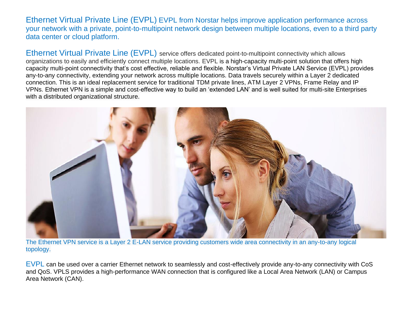Ethernet Virtual Private Line (EVPL) EVPL from Norstar helps improve application performance across your network with a private, point-to-multipoint network design between multiple locations, even to a third party data center or cloud platform.

Ethernet Virtual Private Line (EVPL) service offers dedicated point-to-multipoint connectivity which allows organizations to easily and efficiently connect multiple locations. EVPL is a high-capacity multi-point solution that offers high capacity multi-point connectivity that's cost effective, reliable and flexible. Norstar's Virtual Private LAN Service (EVPL) provides any-to-any connectivity, extending your network across multiple locations. Data travels securely within a Layer 2 dedicated connection. This is an ideal replacement service for traditional TDM private lines, ATM Layer 2 VPNs, Frame Relay and IP VPNs. Ethernet VPN is a simple and cost-effective way to build an 'extended LAN' and is well suited for multi-site Enterprises with a distributed organizational structure.



The Ethernet VPN service is a Layer 2 E-LAN service providing customers wide area connectivity in an any-to-any logical topology.

EVPL can be used over a carrier Ethernet network to seamlessly and cost-effectively provide any-to-any connectivity with CoS and QoS. VPLS provides a high-performance WAN connection that is configured like a Local Area Network (LAN) or Campus Area Network (CAN).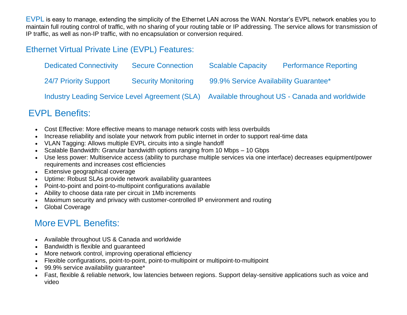EVPL is easy to manage, extending the simplicity of the Ethernet LAN across the WAN. Norstar's EVPL network enables you to maintain full routing control of traffic, with no sharing of your routing table or IP addressing. The service allows for transmission of IP traffic, as well as non-IP traffic, with no encapsulation or conversion required.

# Ethernet Virtual Private Line (EVPL) Features:

| <b>Dedicated Connectivity</b>                         | <b>Secure Connection</b>   | <b>Scalable Capacity</b>                       | <b>Performance Reporting</b> |
|-------------------------------------------------------|----------------------------|------------------------------------------------|------------------------------|
| 24/7 Priority Support                                 | <b>Security Monitoring</b> | 99.9% Service Availability Guarantee*          |                              |
| <b>Industry Leading Service Level Agreement (SLA)</b> |                            | Available throughout US - Canada and worldwide |                              |

# EVPL Benefits:

- Cost Effective: More effective means to manage network costs with less overbuilds
- Increase reliability and isolate your network from public internet in order to support real-time data
- VLAN Tagging: Allows multiple EVPL circuits into a single handoff
- Scalable Bandwidth: Granular bandwidth options ranging from 10 Mbps 10 Gbps
- Use less power: Multiservice access (ability to purchase multiple services via one interface) decreases equipment/power requirements and increases cost efficiencies
- Extensive geographical coverage
- Uptime: Robust SLAs provide network availability guarantees
- Point-to-point and point-to-multipoint configurations available
- Ability to choose data rate per circuit in 1Mb increments
- Maximum security and privacy with customer-controlled IP environment and routing
- Global Coverage

# More EVPL Benefits:

- Available throughout US & Canada and worldwide
- Bandwidth is flexible and guaranteed
- More network control, improving operational efficiency
- Flexible configurations, point-to-point, point-to-multipoint or multipoint-to-multipoint
- 99.9% service availability guarantee\*
- Fast, flexible & reliable network, low latencies between regions. Support delay-sensitive applications such as voice and video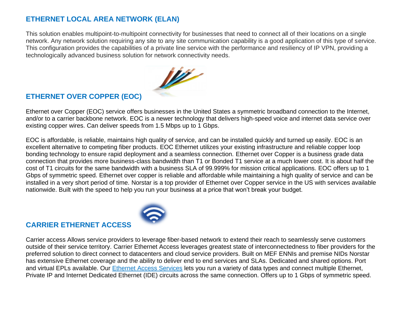## **ETHERNET LOCAL AREA NETWORK (ELAN)**

This solution enables multipoint-to-multipoint connectivity for businesses that need to connect all of their locations on a single network. Any network solution requiring any site to any site communication capability is a good application of this type of service. This configuration provides the capabilities of a private line service with the performance and resiliency of IP VPN, providing a technologically advanced business solution for network connectivity needs.



# **ETHERNET OVER COPPER (EOC)**

Ethernet over Copper (EOC) service offers businesses in the United States a symmetric broadband connection to the Internet, and/or to a carrier backbone network. EOC is a newer technology that delivers high-speed voice and internet data service over existing copper wires. Can deliver speeds from 1.5 Mbps up to 1 Gbps.

EOC is affordable, is reliable, maintains high quality of service, and can be installed quickly and turned up easily. EOC is an excellent alternative to competing fiber products. EOC Ethernet utilizes your existing infrastructure and reliable copper loop bonding technology to ensure rapid deployment and a seamless connection. Ethernet over Copper is a business grade data connection that provides more business-class bandwidth than T1 or Bonded T1 service at a much lower cost. It is about half the cost of T1 circuits for the same bandwidth with a business SLA of 99.999% for mission critical applications. EOC offers up to 1 Gbps of symmetric speed. Ethernet over copper is reliable and affordable while maintaining a high quality of service and can be installed in a very short period of time. Norstar is a top provider of Ethernet over Copper service in the US with services available nationwide. Built with the speed to help you run your business at a price that won't break your budget.



# **CARRIER ETHERNET ACCESS**

Carrier access Allows service providers to leverage fiber-based network to extend their reach to seamlessly serve customers outside of their service territory. Carrier Ethernet Access leverages greatest state of interconnectedness to fiber providers for the preferred solution to direct connect to datacenters and cloud service providers. Built on MEF ENNIs and premise NIDs Norstar has extensive Ethernet coverage and the ability to deliver end to end services and SLAs. Dedicated and shared options. Port and virtual EPLs available. Our [Ethernet Access Services](http://www.norstartelecom.com/networking/ethernet/) lets you run a variety of data types and connect multiple Ethernet, Private IP and Internet Dedicated Ethernet (IDE) circuits across the same connection. Offers up to 1 Gbps of symmetric speed.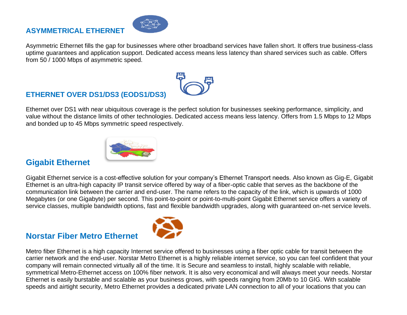### **ASYMMETRICAL ETHERNET**



Asymmetric Ethernet fills the gap for businesses where other broadband services have fallen short. It offers true business-class uptime guarantees and application support. Dedicated access means less latency than shared services such as cable. Offers from 50 / 1000 Mbps of asymmetric speed.

# **ETHERNET OVER DS1/DS3 (EODS1/DS3)**

Ethernet over DS1 with near ubiquitous coverage is the perfect solution for businesses seeking performance, simplicity, and value without the distance limits of other technologies. Dedicated access means less latency. Offers from 1.5 Mbps to 12 Mbps and bonded up to 45 Mbps symmetric speed respectively.



# **Gigabit Ethernet**

Gigabit Ethernet service is a cost-effective solution for your company's Ethernet Transport needs. Also known as Gig-E, Gigabit Ethernet is an ultra-high capacity IP transit service offered by way of a fiber-optic cable that serves as the backbone of the communication link between the carrier and end-user. The name refers to the capacity of the link, which is upwards of 1000 Megabytes (or one Gigabyte) per second. This point-to-point or point-to-multi-point Gigabit Ethernet service offers a variety of service classes, multiple bandwidth options, fast and flexible bandwidth upgrades, along with guaranteed on-net service levels.

# **Norstar Fiber Metro Ethernet**



Metro fiber Ethernet is a high capacity Internet service offered to businesses using a fiber optic cable for transit between the carrier network and the end-user. Norstar Metro Ethernet is a highly reliable internet service, so you can feel confident that your company will remain connected virtually all of the time. It is Secure and seamless to install, highly scalable with reliable, symmetrical Metro-Ethernet access on 100% fiber network. It is also very economical and will always meet your needs. Norstar Ethernet is easily burstable and scalable as your business grows, with speeds ranging from 20Mb to 10 GIG. With scalable speeds and airtight security, Metro Ethernet provides a dedicated private LAN connection to all of your locations that you can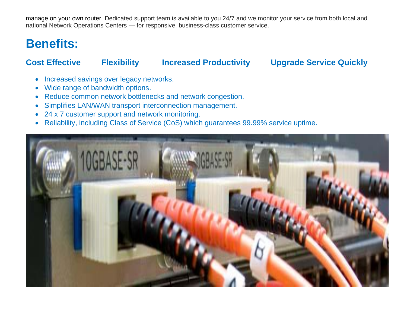manage on your own router. Dedicated support team is available to you 24/7 and we monitor your service from both local and national Network Operations Centers — for responsive, business-class customer service.

# **Benefits:**

# **Cost Effective Flexibility Increased Productivity Upgrade Service Quickly**

- Increased savings over legacy networks.
- Wide range of bandwidth options.
- Reduce common network bottlenecks and network congestion.
- Simplifies LAN/WAN transport interconnection management.
- 24 x 7 customer support and network monitoring.
- Reliability, including Class of Service (CoS) which guarantees 99.99% service uptime.